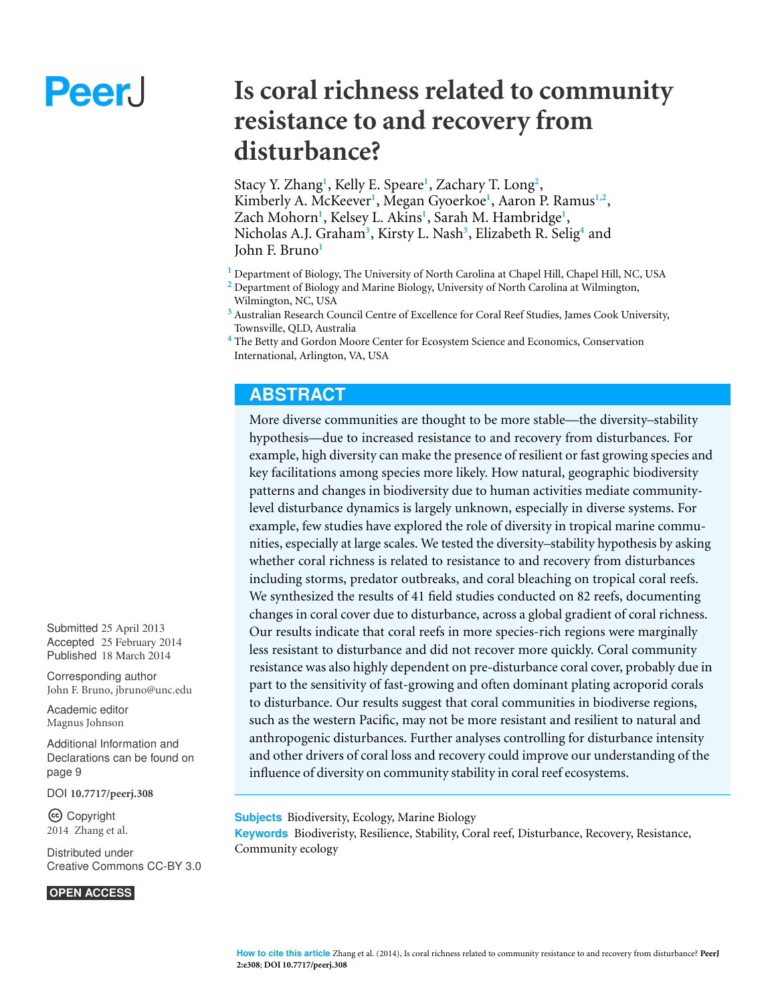# Peer.

# **Is coral richness related to community resistance to and recovery from disturbance?**

Stacy Y. Zhang<sup>1</sup>, Kelly E. Speare<sup>1</sup>, Zachary T. Long<sup>2</sup>, Kimberly A. McKeever**<sup>1</sup>** , Megan Gyoerkoe**<sup>1</sup>** , Aaron P. Ramus**1,2** , Zach Mohorn**<sup>1</sup>** , Kelsey L. Akins**<sup>1</sup>** , Sarah M. Hambridge**<sup>1</sup>** , Nicholas A.J. Graham**<sup>3</sup>** , Kirsty L. Nash**<sup>3</sup>** , Elizabeth R. Selig**<sup>4</sup>** and John F. Bruno**<sup>1</sup>**

**<sup>1</sup>** Department of Biology, The University of North Carolina at Chapel Hill, Chapel Hill, NC, USA

- **<sup>2</sup>** Department of Biology and Marine Biology, University of North Carolina at Wilmington, Wilmington, NC, USA
- **<sup>3</sup>** Australian Research Council Centre of Excellence for Coral Reef Studies, James Cook University, Townsville, QLD, Australia

# **ABSTRACT**

More diverse communities are thought to be more stable—the diversity–stability hypothesis—due to increased resistance to and recovery from disturbances. For example, high diversity can make the presence of resilient or fast growing species and key facilitations among species more likely. How natural, geographic biodiversity patterns and changes in biodiversity due to human activities mediate communitylevel disturbance dynamics is largely unknown, especially in diverse systems. For example, few studies have explored the role of diversity in tropical marine communities, especially at large scales. We tested the diversity–stability hypothesis by asking whether coral richness is related to resistance to and recovery from disturbances including storms, predator outbreaks, and coral bleaching on tropical coral reefs. We synthesized the results of 41 field studies conducted on 82 reefs, documenting changes in coral cover due to disturbance, across a global gradient of coral richness. Our results indicate that coral reefs in more species-rich regions were marginally less resistant to disturbance and did not recover more quickly. Coral community resistance was also highly dependent on pre-disturbance coral cover, probably due in part to the sensitivity of fast-growing and often dominant plating acroporid corals to disturbance. Our results suggest that coral communities in biodiverse regions, such as the western Pacific, may not be more resistant and resilient to natural and anthropogenic disturbances. Further analyses controlling for disturbance intensity and other drivers of coral loss and recovery could improve our understanding of the influence of diversity on community stability in coral reef ecosystems.

**Subjects** Biodiversity, Ecology, Marine Biology

**Keywords** Biodiveristy, Resilience, Stability, Coral reef, Disturbance, Recovery, Resistance, Community ecology

Submitted 25 April 2013 Accepted 25 February 2014 Published 18 March 2014

Corresponding author [John F. Bruno, jbruno@unc.edu](mailto:jbruno@unc.edu)

[Academic editor](https://peerj.com/academic-boards/editors/) [Magnus Johnson](https://peerj.com/academic-boards/editors/)

[Additional Information and](#page-8-0) [Declarations can be found on](#page-8-0) [page 9](#page-8-0)

[DOI](http://dx.doi.org/10.7717/peerj.308) **[10.7717/peerj.308](http://dx.doi.org/10.7717/peerj.308)**

Copyright 2014 Zhang et al.

[Distributed under](http://creativecommons.org/licenses/by/3.0/) [Creative Commons CC-BY 3.0](http://creativecommons.org/licenses/by/3.0/)

#### **OPEN ACCESS**

**<sup>4</sup>** The Betty and Gordon Moore Center for Ecosystem Science and Economics, Conservation International, Arlington, VA, USA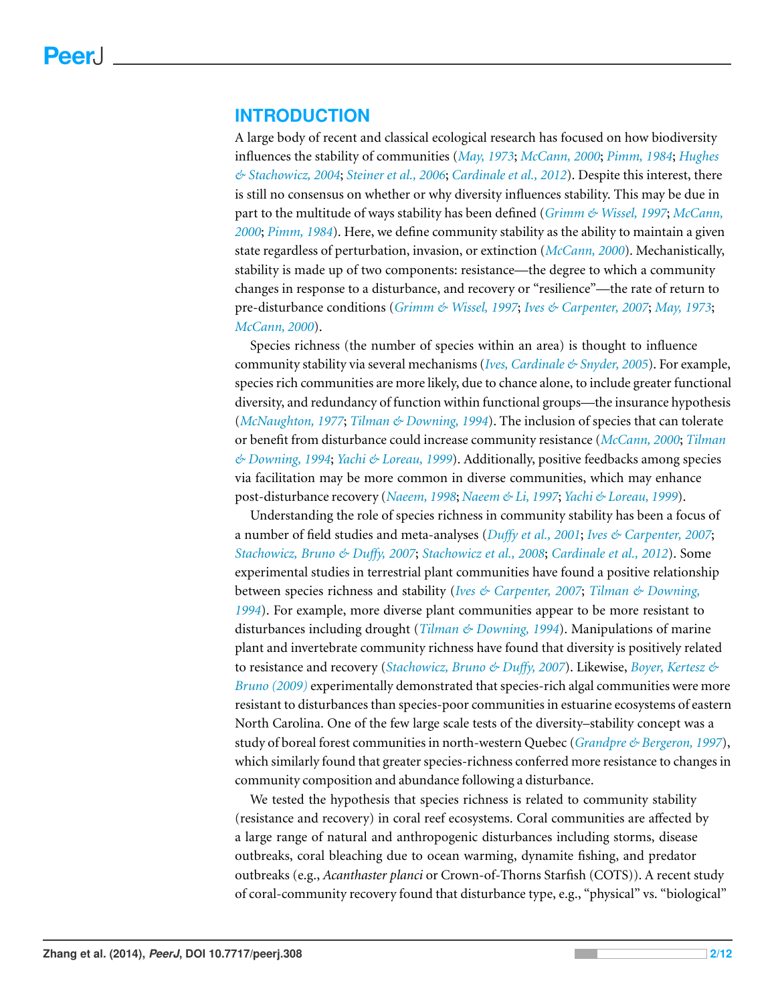# **INTRODUCTION**

A large body of recent and classical ecological research has focused on how biodiversity influences the stability of communities (*[May,](#page-10-0) [1973](#page-10-0)*; *[McCann,](#page-10-1) [2000](#page-10-1)*; *[Pimm,](#page-11-0) [1984](#page-11-0)*; *[Hughes](#page-10-2) [&](#page-10-2) [Stachowicz,](#page-10-2) [2004](#page-10-2)*; *[Steiner](#page-11-1) [et](#page-11-1) [al.,](#page-11-1) [2006](#page-11-1)*; *[Cardinale](#page-9-0) [et](#page-9-0) [al.,](#page-9-0) [2012](#page-9-0)*). Despite this interest, there is still no consensus on whether or why diversity influences stability. This may be due in part to the multitude of ways stability has been defined (*[Grimm](#page-10-3) [&](#page-10-3) [Wissel,](#page-10-3) [1997](#page-10-3)*; *[McCann,](#page-10-1) [2000](#page-10-1)*; *[Pimm,](#page-11-0) [1984](#page-11-0)*). Here, we define community stability as the ability to maintain a given state regardless of perturbation, invasion, or extinction (*[McCann,](#page-10-1) [2000](#page-10-1)*). Mechanistically, stability is made up of two components: resistance—the degree to which a community changes in response to a disturbance, and recovery or "resilience"—the rate of return to pre-disturbance conditions (*[Grimm](#page-10-3) [&](#page-10-3) [Wissel,](#page-10-3) [1997](#page-10-3)*; *[Ives](#page-10-4) [&](#page-10-4) [Carpenter,](#page-10-4) [2007](#page-10-4)*; *[May,](#page-10-0) [1973](#page-10-0)*; *[McCann,](#page-10-1) [2000](#page-10-1)*).

Species richness (the number of species within an area) is thought to influence community stability via several mechanisms (*[Ives,](#page-10-5) [Cardinale](#page-10-5) [&](#page-10-5) [Snyder,](#page-10-5) [2005](#page-10-5)*). For example, species rich communities are more likely, due to chance alone, to include greater functional diversity, and redundancy of function within functional groups—the insurance hypothesis (*[McNaughton,](#page-10-6) [1977](#page-10-6)*; *[Tilman](#page-11-2) [&](#page-11-2) [Downing,](#page-11-2) [1994](#page-11-2)*). The inclusion of species that can tolerate or benefit from disturbance could increase community resistance (*[McCann,](#page-10-1) [2000](#page-10-1)*; *[Tilman](#page-11-2) [&](#page-11-2) [Downing,](#page-11-2) [1994](#page-11-2)*; *[Yachi](#page-11-3) [&](#page-11-3) [Loreau,](#page-11-3) [1999](#page-11-3)*). Additionally, positive feedbacks among species via facilitation may be more common in diverse communities, which may enhance post-disturbance recovery (*[Naeem,](#page-10-7) [1998](#page-10-7)*; *[Naeem](#page-11-4) [&](#page-11-4) [Li,](#page-11-4) [1997](#page-11-4)*; *[Yachi](#page-11-3) [&](#page-11-3) [Loreau,](#page-11-3) [1999](#page-11-3)*).

Understanding the role of species richness in community stability has been a focus of a number of field studies and meta-analyses (*[Du](#page-10-8)ffy [et](#page-10-8) [al.,](#page-10-8) [2001](#page-10-8)*; *[Ives](#page-10-4) [&](#page-10-4) [Carpenter,](#page-10-4) [2007](#page-10-4)*; *[Stachowicz,](#page-11-5) [Bruno](#page-11-5) [&](#page-11-5) [Du](#page-11-5)ffy, [2007](#page-11-5)*; *[Stachowicz](#page-11-6) [et](#page-11-6) [al.,](#page-11-6) [2008](#page-11-6)*; *[Cardinale](#page-9-0) [et](#page-9-0) [al.,](#page-9-0) [2012](#page-9-0)*). Some experimental studies in terrestrial plant communities have found a positive relationship between species richness and stability (*[Ives](#page-10-4) [&](#page-10-4) [Carpenter,](#page-10-4) [2007](#page-10-4)*; *[Tilman](#page-11-2) [&](#page-11-2) [Downing,](#page-11-2) [1994](#page-11-2)*). For example, more diverse plant communities appear to be more resistant to disturbances including drought (*[Tilman](#page-11-2) [&](#page-11-2) [Downing,](#page-11-2) [1994](#page-11-2)*). Manipulations of marine plant and invertebrate community richness have found that diversity is positively related to resistance and recovery (*[Stachowicz,](#page-11-5) [Bruno](#page-11-5) [&](#page-11-5) [Du](#page-11-5)ffy, [2007](#page-11-5)*). Likewise, *[Boyer,](#page-9-1) [Kertesz](#page-9-1) [&](#page-9-1) [Bruno](#page-9-1) [\(2009\)](#page-9-1)* experimentally demonstrated that species-rich algal communities were more resistant to disturbances than species-poor communities in estuarine ecosystems of eastern North Carolina. One of the few large scale tests of the diversity–stability concept was a study of boreal forest communities in north-western Quebec (*[Grandpre](#page-10-9) [&](#page-10-9) [Bergeron,](#page-10-9) [1997](#page-10-9)*), which similarly found that greater species-richness conferred more resistance to changes in community composition and abundance following a disturbance.

We tested the hypothesis that species richness is related to community stability (resistance and recovery) in coral reef ecosystems. Coral communities are affected by a large range of natural and anthropogenic disturbances including storms, disease outbreaks, coral bleaching due to ocean warming, dynamite fishing, and predator outbreaks (e.g., *Acanthaster planci* or Crown-of-Thorns Starfish (COTS)). A recent study of coral-community recovery found that disturbance type, e.g., "physical" vs. "biological"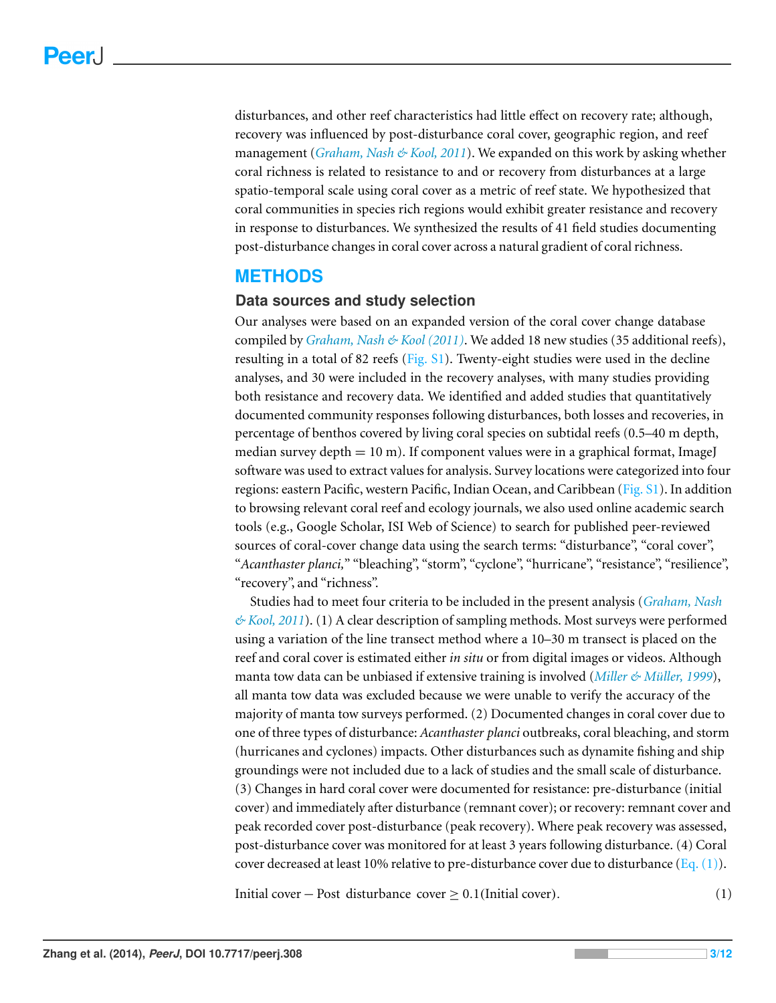disturbances, and other reef characteristics had little effect on recovery rate; although, recovery was influenced by post-disturbance coral cover, geographic region, and reef management (*[Graham,](#page-10-10) [Nash](#page-10-10) [&](#page-10-10) [Kool,](#page-10-10) [2011](#page-10-10)*). We expanded on this work by asking whether coral richness is related to resistance to and or recovery from disturbances at a large spatio-temporal scale using coral cover as a metric of reef state. We hypothesized that coral communities in species rich regions would exhibit greater resistance and recovery in response to disturbances. We synthesized the results of 41 field studies documenting post-disturbance changes in coral cover across a natural gradient of coral richness.

# **METHODS**

#### **Data sources and study selection**

Our analyses were based on an expanded version of the coral cover change database compiled by *[Graham,](#page-10-10) [Nash](#page-10-10) [&](#page-10-10) [Kool](#page-10-10) [\(2011\)](#page-10-10)*. We added 18 new studies (35 additional reefs), resulting in a total of 82 reefs [\(Fig.](http://dx.doi.org/10.7717/peerj.308/supp-1) [S1\)](http://dx.doi.org/10.7717/peerj.308/supp-1). Twenty-eight studies were used in the decline analyses, and 30 were included in the recovery analyses, with many studies providing both resistance and recovery data. We identified and added studies that quantitatively documented community responses following disturbances, both losses and recoveries, in percentage of benthos covered by living coral species on subtidal reefs (0.5–40 m depth, median survey depth  $= 10$  m). If component values were in a graphical format, ImageJ software was used to extract values for analysis. Survey locations were categorized into four regions: eastern Pacific, western Pacific, Indian Ocean, and Caribbean [\(Fig.](http://dx.doi.org/10.7717/peerj.308/supp-1) [S1\)](http://dx.doi.org/10.7717/peerj.308/supp-1). In addition to browsing relevant coral reef and ecology journals, we also used online academic search tools (e.g., Google Scholar, ISI Web of Science) to search for published peer-reviewed sources of coral-cover change data using the search terms: "disturbance", "coral cover", "*Acanthaster planci,*" "bleaching", "storm", "cyclone", "hurricane", "resistance", "resilience", "recovery", and "richness".

Studies had to meet four criteria to be included in the present analysis (*[Graham,](#page-10-10) [Nash](#page-10-10) [&](#page-10-10) [Kool,](#page-10-10) [2011](#page-10-10)*). (1) A clear description of sampling methods. Most surveys were performed using a variation of the line transect method where a 10–30 m transect is placed on the reef and coral cover is estimated either *in situ* or from digital images or videos. Although manta tow data can be unbiased if extensive training is involved (*[Miller](#page-10-11) [&](#page-10-11) [Muller,](#page-10-11) ¨ [1999](#page-10-11)*), all manta tow data was excluded because we were unable to verify the accuracy of the majority of manta tow surveys performed. (2) Documented changes in coral cover due to one of three types of disturbance: *Acanthaster planci* outbreaks, coral bleaching, and storm (hurricanes and cyclones) impacts. Other disturbances such as dynamite fishing and ship groundings were not included due to a lack of studies and the small scale of disturbance. (3) Changes in hard coral cover were documented for resistance: pre-disturbance (initial cover) and immediately after disturbance (remnant cover); or recovery: remnant cover and peak recorded cover post-disturbance (peak recovery). Where peak recovery was assessed, post-disturbance cover was monitored for at least 3 years following disturbance. (4) Coral cover decreased at least 10% relative to pre-disturbance cover due to disturbance (Eq.  $(1)$ ).

<span id="page-2-0"></span>Initial cover – Post disturbance cover  $\geq 0.1$ (Initial cover). (1)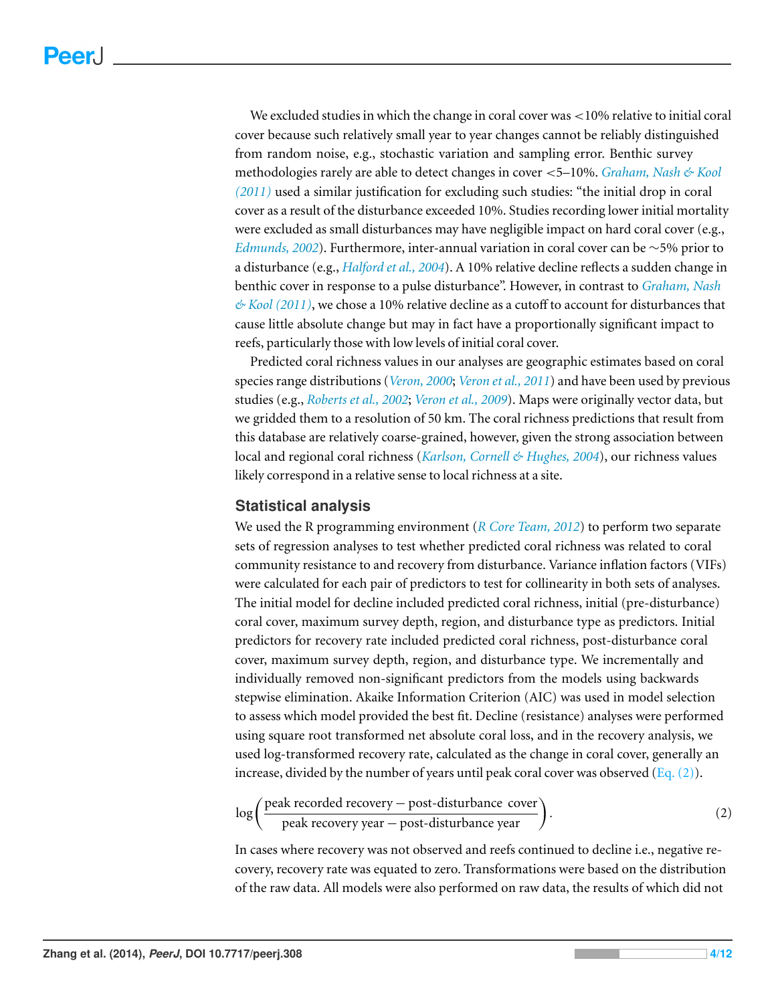We excluded studies in which the change in coral cover was <10% relative to initial coral cover because such relatively small year to year changes cannot be reliably distinguished from random noise, e.g., stochastic variation and sampling error. Benthic survey methodologies rarely are able to detect changes in cover <5–10%. *[Graham,](#page-10-10) [Nash](#page-10-10) [&](#page-10-10) [Kool](#page-10-10) [\(2011\)](#page-10-10)* used a similar justification for excluding such studies: "the initial drop in coral cover as a result of the disturbance exceeded 10%. Studies recording lower initial mortality were excluded as small disturbances may have negligible impact on hard coral cover (e.g., *[Edmunds,](#page-10-12) [2002](#page-10-12)*). Furthermore, inter-annual variation in coral cover can be ∼5% prior to a disturbance (e.g., *[Halford](#page-10-13) [et](#page-10-13) [al.,](#page-10-13) [2004](#page-10-13)*). A 10% relative decline reflects a sudden change in benthic cover in response to a pulse disturbance". However, in contrast to *[Graham,](#page-10-10) [Nash](#page-10-10) [&](#page-10-10) [Kool](#page-10-10) [\(2011\)](#page-10-10)*, we chose a 10% relative decline as a cutoff to account for disturbances that cause little absolute change but may in fact have a proportionally significant impact to reefs, particularly those with low levels of initial coral cover.

Predicted coral richness values in our analyses are geographic estimates based on coral species range distributions (*[Veron,](#page-11-7) [2000](#page-11-7)*; *[Veron](#page-11-8) [et](#page-11-8) [al.,](#page-11-8) [2011](#page-11-8)*) and have been used by previous studies (e.g., *[Roberts](#page-11-9) [et](#page-11-9) [al.,](#page-11-9) [2002](#page-11-9)*; *[Veron](#page-11-10) [et](#page-11-10) [al.,](#page-11-10) [2009](#page-11-10)*). Maps were originally vector data, but we gridded them to a resolution of 50 km. The coral richness predictions that result from this database are relatively coarse-grained, however, given the strong association between local and regional coral richness (*[Karlson,](#page-10-14) [Cornell](#page-10-14) [&](#page-10-14) [Hughes,](#page-10-14) [2004](#page-10-14)*), our richness values likely correspond in a relative sense to local richness at a site.

#### **Statistical analysis**

We used the R programming environment (*[R](#page-11-11) [Core](#page-11-11) [Team,](#page-11-11) [2012](#page-11-11)*) to perform two separate sets of regression analyses to test whether predicted coral richness was related to coral community resistance to and recovery from disturbance. Variance inflation factors (VIFs) were calculated for each pair of predictors to test for collinearity in both sets of analyses. The initial model for decline included predicted coral richness, initial (pre-disturbance) coral cover, maximum survey depth, region, and disturbance type as predictors. Initial predictors for recovery rate included predicted coral richness, post-disturbance coral cover, maximum survey depth, region, and disturbance type. We incrementally and individually removed non-significant predictors from the models using backwards stepwise elimination. Akaike Information Criterion (AIC) was used in model selection to assess which model provided the best fit. Decline (resistance) analyses were performed using square root transformed net absolute coral loss, and in the recovery analysis, we used log-transformed recovery rate, calculated as the change in coral cover, generally an increase, divided by the number of years until peak coral cover was observed  $(Eq. (2))$ .

<span id="page-3-0"></span>
$$
\log\left(\frac{\text{peak recorded recovery} - \text{post-disturbance cover}}{\text{peak recovery year} - \text{post-disturbance year}}\right). \tag{2}
$$

In cases where recovery was not observed and reefs continued to decline i.e., negative recovery, recovery rate was equated to zero. Transformations were based on the distribution of the raw data. All models were also performed on raw data, the results of which did not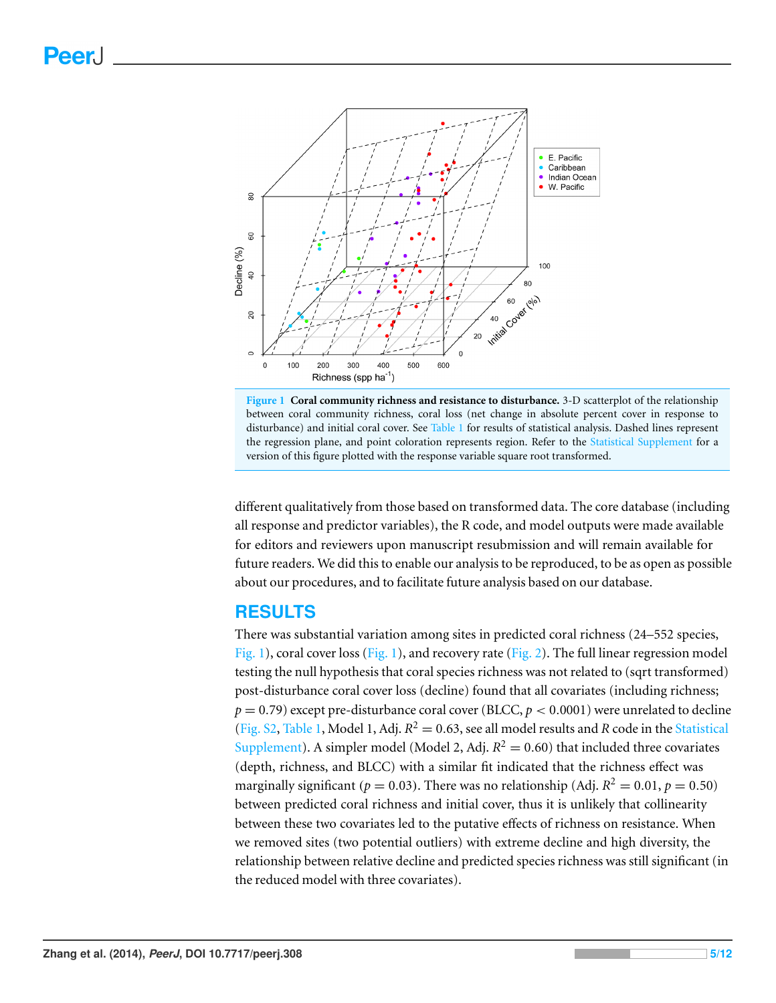<span id="page-4-0"></span>



different qualitatively from those based on transformed data. The core database (including all response and predictor variables), the R code, and model outputs were made available for editors and reviewers upon manuscript resubmission and will remain available for future readers. We did this to enable our analysis to be reproduced, to be as open as possible about our procedures, and to facilitate future analysis based on our database.

# **RESULTS**

There was substantial variation among sites in predicted coral richness (24–552 species, [Fig. 1\)](#page-4-0), coral cover loss [\(Fig. 1\)](#page-4-0), and recovery rate [\(Fig. 2\)](#page-5-0). The full linear regression model testing the null hypothesis that coral species richness was not related to (sqrt transformed) post-disturbance coral cover loss (decline) found that all covariates (including richness;  $p = 0.79$ ) except pre-disturbance coral cover (BLCC,  $p < 0.0001$ ) were unrelated to decline [\(Fig.](http://dx.doi.org/10.7717/peerj.308/supp-2) [S2,](http://dx.doi.org/10.7717/peerj.308/supp-2) [Table 1,](#page-6-0) Model 1, Adj.  $R^2 = 0.63$ , see all model results and *R* code in the [Statistical](http://dx.doi.org/10.7717/peerj.308/supp-6) [Supplement\)](http://dx.doi.org/10.7717/peerj.308/supp-6). A simpler model (Model 2, Adj.  $R^2 = 0.60$ ) that included three covariates (depth, richness, and BLCC) with a similar fit indicated that the richness effect was marginally significant ( $p = 0.03$ ). There was no relationship (Adj.  $R^2 = 0.01$ ,  $p = 0.50$ ) between predicted coral richness and initial cover, thus it is unlikely that collinearity between these two covariates led to the putative effects of richness on resistance. When we removed sites (two potential outliers) with extreme decline and high diversity, the relationship between relative decline and predicted species richness was still significant (in the reduced model with three covariates).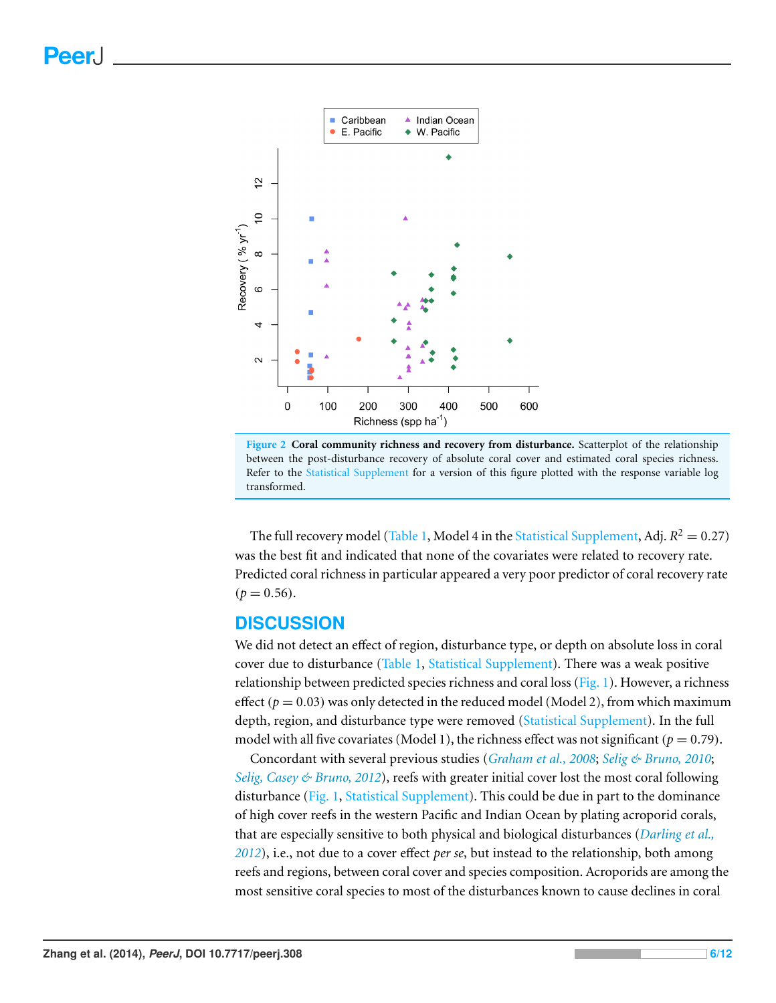<span id="page-5-0"></span>



The full recovery model [\(Table 1,](#page-6-0) Model 4 in the [Statistical](http://dx.doi.org/10.7717/peerj.308/supp-6) [Supplement,](http://dx.doi.org/10.7717/peerj.308/supp-6) Adj.  $R^2 = 0.27$ ) was the best fit and indicated that none of the covariates were related to recovery rate. Predicted coral richness in particular appeared a very poor predictor of coral recovery rate  $(p = 0.56)$ .

# **DISCUSSION**

We did not detect an effect of region, disturbance type, or depth on absolute loss in coral cover due to disturbance [\(Table 1,](#page-6-0) [Statistical](http://dx.doi.org/10.7717/peerj.308/supp-6) [Supplement\)](http://dx.doi.org/10.7717/peerj.308/supp-6). There was a weak positive relationship between predicted species richness and coral loss ( $Fig. 1$ ). However, a richness effect ( $p = 0.03$ ) was only detected in the reduced model (Model 2), from which maximum depth, region, and disturbance type were removed [\(Statistical](http://dx.doi.org/10.7717/peerj.308/supp-6) [Supplement\)](http://dx.doi.org/10.7717/peerj.308/supp-6). In the full model with all five covariates (Model 1), the richness effect was not significant ( $p = 0.79$ ).

Concordant with several previous studies (*[Graham](#page-10-15) [et](#page-10-15) [al.,](#page-10-15) [2008](#page-10-15)*; *[Selig](#page-11-12) [&](#page-11-12) [Bruno,](#page-11-12) [2010](#page-11-12)*; *[Selig,](#page-11-13) [Casey](#page-11-13) [&](#page-11-13) [Bruno,](#page-11-13) [2012](#page-11-13)*), reefs with greater initial cover lost the most coral following disturbance [\(Fig. 1,](#page-4-0) [Statistical](http://dx.doi.org/10.7717/peerj.308/supp-6) [Supplement\)](http://dx.doi.org/10.7717/peerj.308/supp-6). This could be due in part to the dominance of high cover reefs in the western Pacific and Indian Ocean by plating acroporid corals, that are especially sensitive to both physical and biological disturbances (*[Darling](#page-10-16) [et](#page-10-16) [al.,](#page-10-16) [2012](#page-10-16)*), i.e., not due to a cover effect *per se*, but instead to the relationship, both among reefs and regions, between coral cover and species composition. Acroporids are among the most sensitive coral species to most of the disturbances known to cause declines in coral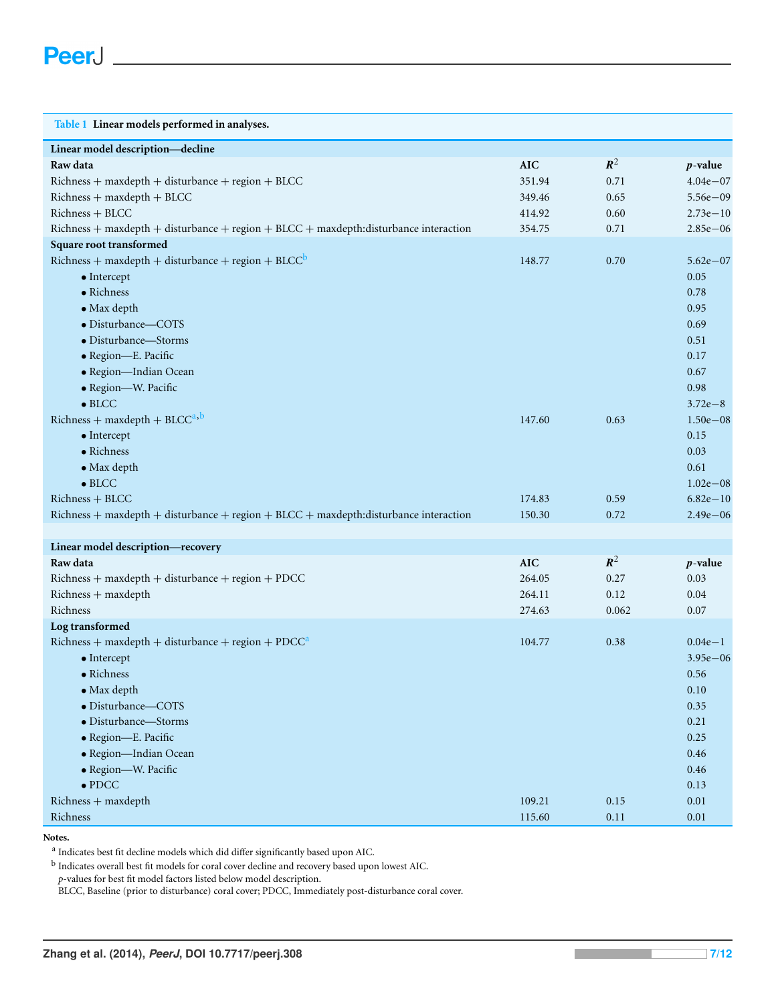<span id="page-6-0"></span>

| Table 1 Linear models performed in analyses.                                         |            |                |              |
|--------------------------------------------------------------------------------------|------------|----------------|--------------|
| Linear model description-decline                                                     |            |                |              |
| Raw data                                                                             | <b>AIC</b> | $\mathbb{R}^2$ | $p$ -value   |
| Richness + maxdepth + disturbance + region + BLCC                                    | 351.94     | 0.71           | $4.04e - 07$ |
| $Richard$ + maxdepth + BLCC                                                          | 349.46     | 0.65           | $5.56e - 09$ |
| Richness + BLCC                                                                      | 414.92     | 0.60           | $2.73e - 10$ |
| Richness + maxdepth + disturbance + region + BLCC + maxdepth:disturbance interaction | 354.75     | 0.71           | $2.85e - 06$ |
| Square root transformed                                                              |            |                |              |
| Richness + maxdepth + disturbance + region + $BLCC^b$                                | 148.77     | 0.70           | $5.62e - 07$ |
| $\bullet$ Intercept                                                                  |            |                | 0.05         |
| $\bullet$ Richness                                                                   |            |                | 0.78         |
| $\bullet$ Max depth                                                                  |            |                | 0.95         |
| · Disturbance-COTS                                                                   |            |                | 0.69         |
| • Disturbance-Storms                                                                 |            |                | 0.51         |
| · Region-E. Pacific                                                                  |            |                | 0.17         |
| · Region-Indian Ocean                                                                |            |                | 0.67         |
| · Region-W. Pacific                                                                  |            |                | 0.98         |
| $\bullet$ BLCC                                                                       |            |                | $3.72e - 8$  |
| $Richard$ -maxdepth + BLCC <sup>a,b</sup>                                            | 147.60     | 0.63           | $1.50e - 08$ |
| $\bullet$ Intercept                                                                  |            |                | 0.15         |
| $\bullet$ Richness                                                                   |            |                | 0.03         |
| $\bullet$ Max depth                                                                  |            |                | 0.61         |
| $\bullet$ BLCC                                                                       |            |                | $1.02e - 08$ |
| Richness + BLCC                                                                      | 174.83     | 0.59           | $6.82e - 10$ |
| Richness + maxdepth + disturbance + region + BLCC + maxdepth:disturbance interaction | 150.30     | 0.72           | $2.49e - 06$ |
|                                                                                      |            |                |              |
| Linear model description-recovery                                                    |            |                |              |
| Raw data                                                                             | <b>AIC</b> | $\mathbb{R}^2$ | $p$ -value   |
| $Richard$ + maxdepth + disturbance + region + PDCC                                   | 264.05     | 0.27           | 0.03         |
| Richness + maxdepth                                                                  | 264.11     | 0.12           | 0.04         |
| Richness                                                                             | 274.63     | 0.062          | 0.07         |
| Log transformed                                                                      |            |                |              |
| Richness + maxdepth + disturbance + region + $PDCCa$                                 | 104.77     | 0.38           | $0.04e-1$    |
| $\bullet$ Intercept                                                                  |            |                | $3.95e - 06$ |
| • Richness                                                                           |            |                | 0.56         |
| $\bullet$ Max depth                                                                  |            |                | $0.10\,$     |
| · Disturbance-COTS                                                                   |            |                | 0.35         |
| · Disturbance-Storms                                                                 |            |                | 0.21         |
| · Region-E. Pacific                                                                  |            |                | 0.25         |
| · Region-Indian Ocean                                                                |            |                | 0.46         |
| · Region-W. Pacific                                                                  |            |                | 0.46         |
| $\bullet$ PDCC                                                                       |            |                | 0.13         |
| Richness + maxdepth                                                                  | 109.21     | 0.15           | $0.01\,$     |
| Richness                                                                             | 115.60     | 0.11           | 0.01         |

**Notes.**

<span id="page-6-2"></span><sup>a</sup> Indicates best fit decline models which did differ significantly based upon AIC.

<span id="page-6-1"></span>b Indicates overall best fit models for coral cover decline and recovery based upon lowest AIC.

*p*-values for best fit model factors listed below model description.

BLCC, Baseline (prior to disturbance) coral cover; PDCC, Immediately post-disturbance coral cover.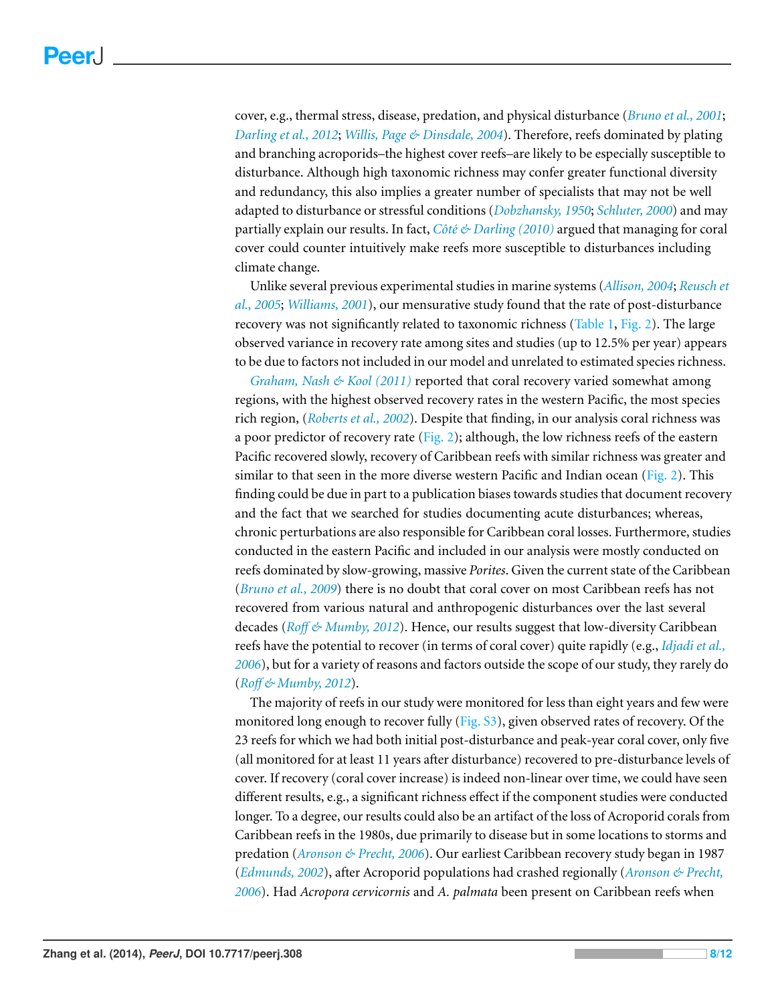cover, e.g., thermal stress, disease, predation, and physical disturbance (*[Bruno](#page-9-2) [et](#page-9-2) [al.,](#page-9-2) [2001](#page-9-2)*; *[Darling](#page-10-16) [et](#page-10-16) [al.,](#page-10-16) [2012](#page-10-16)*; *[Willis,](#page-11-14) [Page](#page-11-14) [&](#page-11-14) [Dinsdale,](#page-11-14) [2004](#page-11-14)*). Therefore, reefs dominated by plating and branching acroporids–the highest cover reefs–are likely to be especially susceptible to disturbance. Although high taxonomic richness may confer greater functional diversity and redundancy, this also implies a greater number of specialists that may not be well adapted to disturbance or stressful conditions (*[Dobzhansky,](#page-10-17) [1950](#page-10-17)*; *[Schluter,](#page-11-15) [2000](#page-11-15)*) and may partially explain our results. In fact, *Côté [&](#page-9-3) [Darling](#page-9-3)* [\(2010\)](#page-9-3) argued that managing for coral cover could counter intuitively make reefs more susceptible to disturbances including climate change.

Unlike several previous experimental studies in marine systems (*[Allison,](#page-9-4) [2004](#page-9-4)*; *[Reusch](#page-11-16) [et](#page-11-16) [al.,](#page-11-16) [2005](#page-11-16)*; *[Williams,](#page-11-17) [2001](#page-11-17)*), our mensurative study found that the rate of post-disturbance recovery was not significantly related to taxonomic richness [\(Table 1,](#page-6-0) [Fig. 2\)](#page-5-0). The large observed variance in recovery rate among sites and studies (up to 12.5% per year) appears to be due to factors not included in our model and unrelated to estimated species richness.

*[Graham,](#page-10-10) [Nash](#page-10-10) [&](#page-10-10) [Kool](#page-10-10) [\(2011\)](#page-10-10)* reported that coral recovery varied somewhat among regions, with the highest observed recovery rates in the western Pacific, the most species rich region, (*[Roberts](#page-11-9) [et](#page-11-9) [al.,](#page-11-9) [2002](#page-11-9)*). Despite that finding, in our analysis coral richness was a poor predictor of recovery rate [\(Fig. 2\)](#page-5-0); although, the low richness reefs of the eastern Pacific recovered slowly, recovery of Caribbean reefs with similar richness was greater and similar to that seen in the more diverse western Pacific and Indian ocean [\(Fig. 2\)](#page-5-0). This finding could be due in part to a publication biases towards studies that document recovery and the fact that we searched for studies documenting acute disturbances; whereas, chronic perturbations are also responsible for Caribbean coral losses. Furthermore, studies conducted in the eastern Pacific and included in our analysis were mostly conducted on reefs dominated by slow-growing, massive *Porites*. Given the current state of the Caribbean (*[Bruno](#page-9-5) [et](#page-9-5) [al.,](#page-9-5) [2009](#page-9-5)*) there is no doubt that coral cover on most Caribbean reefs has not recovered from various natural and anthropogenic disturbances over the last several decades (*[Ro](#page-11-18)ff [&](#page-11-18) [Mumby,](#page-11-18) [2012](#page-11-18)*). Hence, our results suggest that low-diversity Caribbean reefs have the potential to recover (in terms of coral cover) quite rapidly (e.g., *[Idjadi](#page-10-18) [et](#page-10-18) [al.,](#page-10-18) [2006](#page-10-18)*), but for a variety of reasons and factors outside the scope of our study, they rarely do (*[Ro](#page-11-18)ff [&](#page-11-18) [Mumby,](#page-11-18) [2012](#page-11-18)*).

The majority of reefs in our study were monitored for less than eight years and few were monitored long enough to recover fully  $(Fig, S3)$  $(Fig, S3)$ , given observed rates of recovery. Of the 23 reefs for which we had both initial post-disturbance and peak-year coral cover, only five (all monitored for at least 11 years after disturbance) recovered to pre-disturbance levels of cover. If recovery (coral cover increase) is indeed non-linear over time, we could have seen different results, e.g., a significant richness effect if the component studies were conducted longer. To a degree, our results could also be an artifact of the loss of Acroporid corals from Caribbean reefs in the 1980s, due primarily to disease but in some locations to storms and predation (*[Aronson](#page-9-6) [&](#page-9-6) [Precht,](#page-9-6) [2006](#page-9-6)*). Our earliest Caribbean recovery study began in 1987 (*[Edmunds,](#page-10-12) [2002](#page-10-12)*), after Acroporid populations had crashed regionally (*[Aronson](#page-9-6) [&](#page-9-6) [Precht,](#page-9-6) [2006](#page-9-6)*). Had *Acropora cervicornis* and *A. palmata* been present on Caribbean reefs when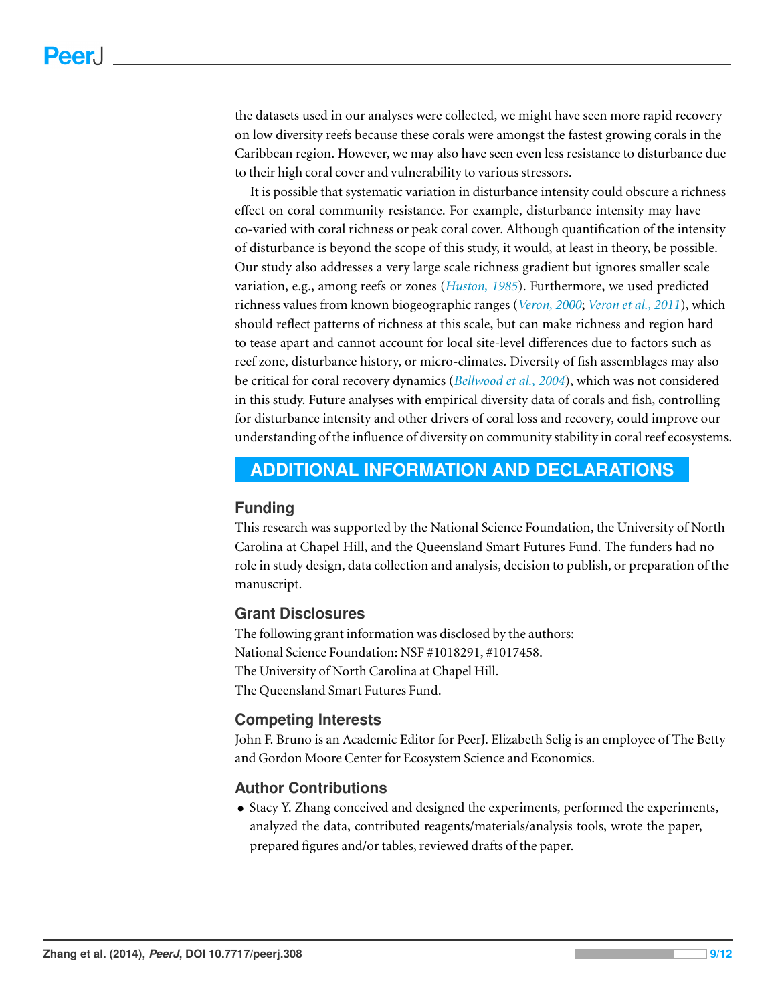the datasets used in our analyses were collected, we might have seen more rapid recovery on low diversity reefs because these corals were amongst the fastest growing corals in the Caribbean region. However, we may also have seen even less resistance to disturbance due to their high coral cover and vulnerability to various stressors.

It is possible that systematic variation in disturbance intensity could obscure a richness effect on coral community resistance. For example, disturbance intensity may have co-varied with coral richness or peak coral cover. Although quantification of the intensity of disturbance is beyond the scope of this study, it would, at least in theory, be possible. Our study also addresses a very large scale richness gradient but ignores smaller scale variation, e.g., among reefs or zones (*[Huston,](#page-10-19) [1985](#page-10-19)*). Furthermore, we used predicted richness values from known biogeographic ranges (*[Veron,](#page-11-7) [2000](#page-11-7)*; *[Veron](#page-11-8) [et](#page-11-8) [al.,](#page-11-8) [2011](#page-11-8)*), which should reflect patterns of richness at this scale, but can make richness and region hard to tease apart and cannot account for local site-level differences due to factors such as reef zone, disturbance history, or micro-climates. Diversity of fish assemblages may also be critical for coral recovery dynamics (*[Bellwood](#page-9-7) [et](#page-9-7) [al.,](#page-9-7) [2004](#page-9-7)*), which was not considered in this study. Future analyses with empirical diversity data of corals and fish, controlling for disturbance intensity and other drivers of coral loss and recovery, could improve our understanding of the influence of diversity on community stability in coral reef ecosystems.

# <span id="page-8-0"></span>**ADDITIONAL INFORMATION AND DECLARATIONS**

#### **Funding**

This research was supported by the National Science Foundation, the University of North Carolina at Chapel Hill, and the Queensland Smart Futures Fund. The funders had no role in study design, data collection and analysis, decision to publish, or preparation of the manuscript.

## **Grant Disclosures**

The following grant information was disclosed by the authors: National Science Foundation: NSF #1018291, #1017458. The University of North Carolina at Chapel Hill. The Queensland Smart Futures Fund.

#### **Competing Interests**

John F. Bruno is an Academic Editor for PeerJ. Elizabeth Selig is an employee of The Betty and Gordon Moore Center for Ecosystem Science and Economics.

# **Author Contributions**

• Stacy Y. Zhang conceived and designed the experiments, performed the experiments, analyzed the data, contributed reagents/materials/analysis tools, wrote the paper, prepared figures and/or tables, reviewed drafts of the paper.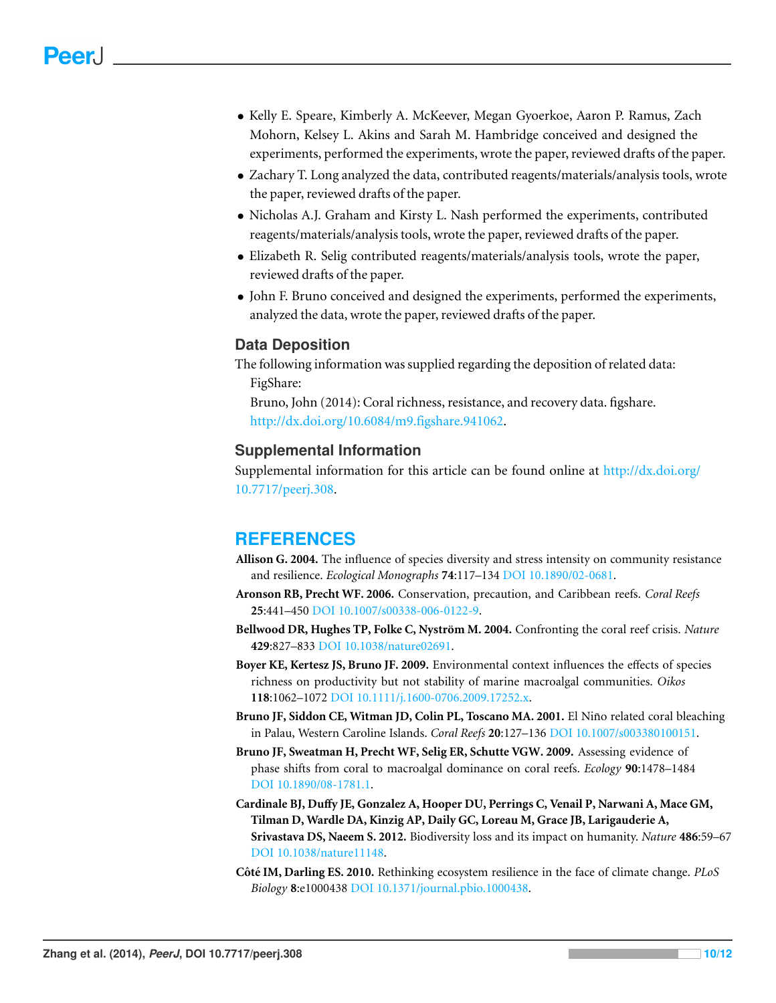- Kelly E. Speare, Kimberly A. McKeever, Megan Gyoerkoe, Aaron P. Ramus, Zach Mohorn, Kelsey L. Akins and Sarah M. Hambridge conceived and designed the experiments, performed the experiments, wrote the paper, reviewed drafts of the paper.
- Zachary T. Long analyzed the data, contributed reagents/materials/analysis tools, wrote the paper, reviewed drafts of the paper.
- Nicholas A.J. Graham and Kirsty L. Nash performed the experiments, contributed reagents/materials/analysis tools, wrote the paper, reviewed drafts of the paper.
- Elizabeth R. Selig contributed reagents/materials/analysis tools, wrote the paper, reviewed drafts of the paper.
- John F. Bruno conceived and designed the experiments, performed the experiments, analyzed the data, wrote the paper, reviewed drafts of the paper.

## **Data Deposition**

The following information was supplied regarding the deposition of related data: FigShare: Bruno, John (2014): Coral richness, resistance, and recovery data. figshare.

[http://dx.doi.org/10.6084/m9.figshare.941062.](http://dx.doi.org/10.6084/m9.figshare.941062)

#### **Supplemental Information**

Supplemental information for this article can be found online at [http://dx.doi.org/](http://dx.doi.org/10.7717/peerj.308) [10.7717/peerj.308.](http://dx.doi.org/10.7717/peerj.308)

# **REFERENCES**

- <span id="page-9-4"></span>**Allison G. 2004.** The influence of species diversity and stress intensity on community resistance and resilience. *Ecological Monographs* **74**:117–134 DOI [10.1890/02-0681.](http://dx.doi.org/10.1890/02-0681)
- <span id="page-9-6"></span>**Aronson RB, Precht WF. 2006.** Conservation, precaution, and Caribbean reefs. *Coral Reefs* **25**:441–450 DOI [10.1007/s00338-006-0122-9.](http://dx.doi.org/10.1007/s00338-006-0122-9)
- <span id="page-9-7"></span>**Bellwood DR, Hughes TP, Folke C, Nystrom M. 2004. ¨** Confronting the coral reef crisis. *Nature* **429**:827–833 DOI [10.1038/nature02691.](http://dx.doi.org/10.1038/nature02691)
- <span id="page-9-1"></span>**Boyer KE, Kertesz JS, Bruno JF. 2009.** Environmental context influences the effects of species richness on productivity but not stability of marine macroalgal communities. *Oikos* **118**:1062–1072 DOI [10.1111/j.1600-0706.2009.17252.x.](http://dx.doi.org/10.1111/j.1600-0706.2009.17252.x)
- <span id="page-9-2"></span>Bruno JF, Siddon CE, Witman JD, Colin PL, Toscano MA. 2001. El Niño related coral bleaching in Palau, Western Caroline Islands. *Coral Reefs* **20**:127–136 DOI [10.1007/s003380100151.](http://dx.doi.org/10.1007/s003380100151)
- <span id="page-9-5"></span>**Bruno JF, Sweatman H, Precht WF, Selig ER, Schutte VGW. 2009.** Assessing evidence of phase shifts from coral to macroalgal dominance on coral reefs. *Ecology* **90**:1478–1484 DOI [10.1890/08-1781.1.](http://dx.doi.org/10.1890/08-1781.1)
- <span id="page-9-0"></span>**Cardinale BJ, Duffy JE, Gonzalez A, Hooper DU, Perrings C, Venail P, Narwani A, Mace GM, Tilman D, Wardle DA, Kinzig AP, Daily GC, Loreau M, Grace JB, Larigauderie A, Srivastava DS, Naeem S. 2012.** Biodiversity loss and its impact on humanity. *Nature* **486**:59–67 DOI [10.1038/nature11148.](http://dx.doi.org/10.1038/nature11148)
- <span id="page-9-3"></span>**Côté IM, Darling ES. 2010.** Rethinking ecosystem resilience in the face of climate change. *PLoS Biology* **8**:e1000438 DOI [10.1371/journal.pbio.1000438.](http://dx.doi.org/10.1371/journal.pbio.1000438)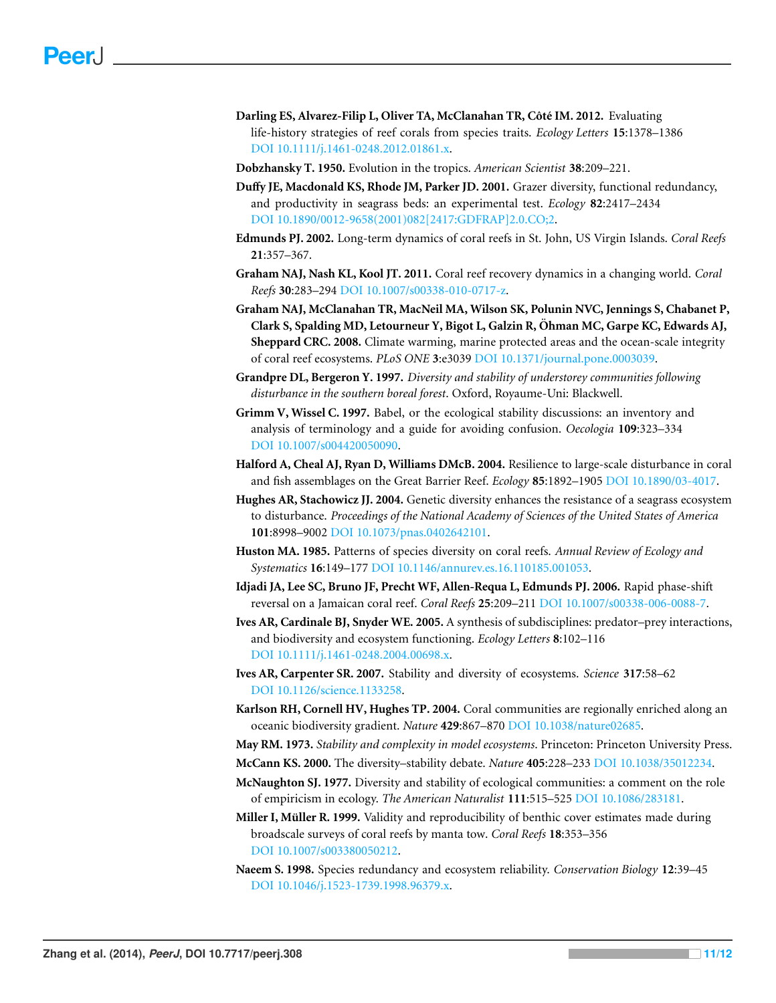- <span id="page-10-16"></span>**Darling ES, Alvarez-Filip L, Oliver TA, McClanahan TR, Côté IM. 2012.** Evaluating life-history strategies of reef corals from species traits. *Ecology Letters* **15**:1378–1386 DOI [10.1111/j.1461-0248.2012.01861.x.](http://dx.doi.org/10.1111/j.1461-0248.2012.01861.x)
- <span id="page-10-17"></span>**Dobzhansky T. 1950.** Evolution in the tropics. *American Scientist* **38**:209–221.
- <span id="page-10-8"></span>**Duffy JE, Macdonald KS, Rhode JM, Parker JD. 2001.** Grazer diversity, functional redundancy, and productivity in seagrass beds: an experimental test. *Ecology* **82**:2417–2434 DOI [10.1890/0012-9658\(2001\)082\[2417:GDFRAP\]2.0.CO;2.](http://dx.doi.org/10.1890/0012-9658(2001)082[2417:GDFRAP]2.0.CO;2)
- <span id="page-10-12"></span>**Edmunds PJ. 2002.** Long-term dynamics of coral reefs in St. John, US Virgin Islands. *Coral Reefs* **21**:357–367.
- <span id="page-10-10"></span>**Graham NAJ, Nash KL, Kool JT. 2011.** Coral reef recovery dynamics in a changing world. *Coral Reefs* **30**:283–294 DOI [10.1007/s00338-010-0717-z.](http://dx.doi.org/10.1007/s00338-010-0717-z)
- <span id="page-10-15"></span>**Graham NAJ, McClanahan TR, MacNeil MA, Wilson SK, Polunin NVC, Jennings S, Chabanet P, Clark S, Spalding MD, Letourneur Y, Bigot L, Galzin R, Ohman MC, Garpe KC, Edwards AJ, ¨ Sheppard CRC. 2008.** Climate warming, marine protected areas and the ocean-scale integrity of coral reef ecosystems. *PLoS ONE* **3**:e3039 DOI [10.1371/journal.pone.0003039.](http://dx.doi.org/10.1371/journal.pone.0003039)
- <span id="page-10-9"></span>**Grandpre DL, Bergeron Y. 1997.** *Diversity and stability of understorey communities following disturbance in the southern boreal forest*. Oxford, Royaume-Uni: Blackwell.
- <span id="page-10-3"></span>**Grimm V, Wissel C. 1997.** Babel, or the ecological stability discussions: an inventory and analysis of terminology and a guide for avoiding confusion. *Oecologia* **109**:323–334 DOI [10.1007/s004420050090.](http://dx.doi.org/10.1007/s004420050090)
- <span id="page-10-13"></span>**Halford A, Cheal AJ, Ryan D, Williams DMcB. 2004.** Resilience to large-scale disturbance in coral and fish assemblages on the Great Barrier Reef. *Ecology* **85**:1892–1905 DOI [10.1890/03-4017.](http://dx.doi.org/10.1890/03-4017)
- <span id="page-10-2"></span>**Hughes AR, Stachowicz JJ. 2004.** Genetic diversity enhances the resistance of a seagrass ecosystem to disturbance. *Proceedings of the National Academy of Sciences of the United States of America* **101**:8998–9002 DOI [10.1073/pnas.0402642101.](http://dx.doi.org/10.1073/pnas.0402642101)
- <span id="page-10-19"></span>**Huston MA. 1985.** Patterns of species diversity on coral reefs. *Annual Review of Ecology and Systematics* **16**:149–177 DOI [10.1146/annurev.es.16.110185.001053.](http://dx.doi.org/10.1146/annurev.es.16.110185.001053)
- <span id="page-10-18"></span>**Idjadi JA, Lee SC, Bruno JF, Precht WF, Allen-Requa L, Edmunds PJ. 2006.** Rapid phase-shift reversal on a Jamaican coral reef. *Coral Reefs* **25**:209–211 DOI [10.1007/s00338-006-0088-7.](http://dx.doi.org/10.1007/s00338-006-0088-7)
- <span id="page-10-5"></span>**Ives AR, Cardinale BJ, Snyder WE. 2005.** A synthesis of subdisciplines: predator–prey interactions, and biodiversity and ecosystem functioning. *Ecology Letters* **8**:102–116 DOI [10.1111/j.1461-0248.2004.00698.x.](http://dx.doi.org/10.1111/j.1461-0248.2004.00698.x)
- <span id="page-10-4"></span>**Ives AR, Carpenter SR. 2007.** Stability and diversity of ecosystems. *Science* **317**:58–62 DOI [10.1126/science.1133258.](http://dx.doi.org/10.1126/science.1133258)
- <span id="page-10-14"></span>**Karlson RH, Cornell HV, Hughes TP. 2004.** Coral communities are regionally enriched along an oceanic biodiversity gradient. *Nature* **429**:867–870 DOI [10.1038/nature02685.](http://dx.doi.org/10.1038/nature02685)

<span id="page-10-0"></span>**May RM. 1973.** *Stability and complexity in model ecosystems*. Princeton: Princeton University Press.

- <span id="page-10-1"></span>**McCann KS. 2000.** The diversity–stability debate. *Nature* **405**:228–233 DOI [10.1038/35012234.](http://dx.doi.org/10.1038/35012234)
- <span id="page-10-6"></span>**McNaughton SJ. 1977.** Diversity and stability of ecological communities: a comment on the role of empiricism in ecology. *The American Naturalist* **111**:515–525 DOI [10.1086/283181.](http://dx.doi.org/10.1086/283181)
- <span id="page-10-11"></span>**Miller I, Müller R. 1999.** Validity and reproducibility of benthic cover estimates made during broadscale surveys of coral reefs by manta tow. *Coral Reefs* **18**:353–356 DOI [10.1007/s003380050212.](http://dx.doi.org/10.1007/s003380050212)
- <span id="page-10-7"></span>**Naeem S. 1998.** Species redundancy and ecosystem reliability. *Conservation Biology* **12**:39–45 DOI [10.1046/j.1523-1739.1998.96379.x.](http://dx.doi.org/10.1046/j.1523-1739.1998.96379.x)